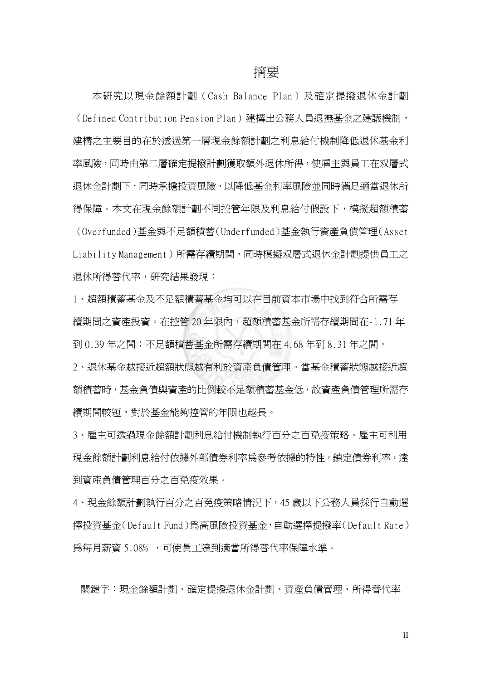## 摘要

本研究以現金餘額計劃(Cash Balance Plan)及確定提撥退休金計劃 (Defined Contribution Pension Plan)建構出公務人員退撫基金之建議機制, 建構之主要目的在於透過第一層現金餘額計劃之利息給付機制降低退休基金利 率風險,同時由第二層確定提撥計劃獲取額外退休所得,使雇主與員工在双層式 退休金計劃下,同時承擔投資風險,以降低基金利率風險並同時滿足適當退休所 得保障。本文在現金餘額計劃不同控管年限及利息給付假設下,模擬超額積蓄 (Overfunded)基金與不足額積蓄(Underfunded)基金執行資產負債管理(Asset Liability Management)所需存續期間,同時模擬双層式退休金計劃提供員工之 退休所得替代率,研究結果發現:

1、超額積蓄基金及不足額積蓄基金均可以在目前資本市場中找到符合所需存 續期間之資產投資。在控管 20 年限內,超額積蓄基金所需存續期間在-1.71 年 到 0.39 年之間;不足額積蓄基金所需存續期間在 4.68 年到 8.31 年之間。

2、退休基金越接近超額狀態越有利於資產負債管理。當基金積蓄狀態越接近超 額積蓄時,基金負債與資產的比例較不足額積蓄基金低,故資產負債管理所需存 續期間較短,對於基金能夠控管的年限也越長。

3、雇主可透過現金餘額計劃利息給付機制執行百分之百免疫策略。雇主可利用 現金餘額計劃利息給付依據外部債券利率為參考依據的特性,鎖定債券利率,達 到資產負債管理百分之百免疫效果。

4、現金餘額計劃執行百分之百免疫策略情況下,45 歲以下公務人員採行自動選 擇投資基金(Default Fund)為高風險投資基金,自動選擇提撥率(Default Rate) 為每月薪資 5.08﹪,可使員工達到適當所得替代率保障水準。

關鍵字:現金餘額計劃、確定提撥退休金計劃、資產負債管理、所得替代率

II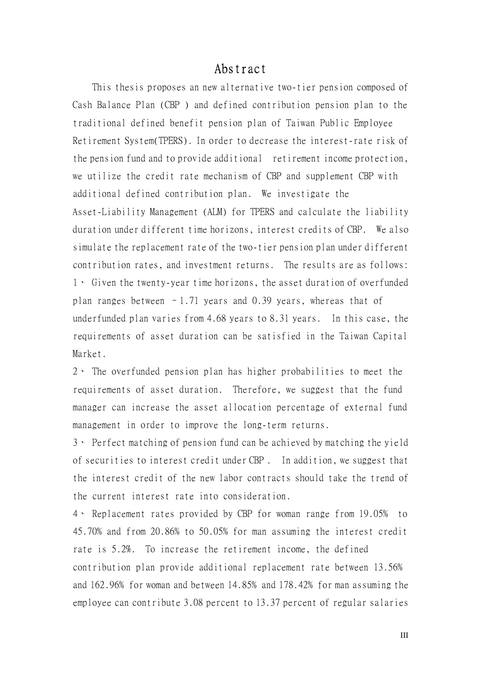## Abstract

This thesis proposes an new alternative two-tier pension composed of Cash Balance Plan (CBP ) and defined contribution pension plan to the traditional defined benefit pension plan of Taiwan Public Employee Retirement System(TPERS). In order to decrease the interest-rate risk of the pension fund and to provide additional retirement income protection, we utilize the credit rate mechanism of CBP and supplement CBP with additional defined contribution plan. We investigate the Asset-Liability Management (ALM) for TPERS and calculate the liability duration under different time horizons, interest credits of CBP. We also simulate the replacement rate of the two-tier pension plan under different contribution rates, and investment returns. The results are as follows: 1、 Given the twenty-year time horizons, the asset duration of overfunded plan ranges between  $-1.71$  years and 0.39 years, whereas that of underfunded plan varies from 4.68 years to 8.31 years. In this case, the requirements of asset duration can be satisfied in the Taiwan Capital Market.

2、 The overfunded pension plan has higher probabilities to meet the requirements of asset duration. Therefore, we suggest that the fund manager can increase the asset allocation percentage of external fund management in order to improve the long-term returns.

3、 Perfect matching of pension fund can be achieved by matching the yield of securities to interest credit under CBP . In addition, we suggest that the interest credit of the new labor contracts should take the trend of the current interest rate into consideration.

4、 Replacement rates provided by CBP for woman range from 19.05﹪ to 45.70﹪and from 20.86﹪to 50.05﹪for man assuming the interest credit rate is 5.2%. To increase the retirement income, the defined contribution plan provide additional replacement rate between 13.56﹪ and 162.96% for woman and between 14.85% and 178.42% for man assuming the employee can contribute 3.08 percent to 13.37 percent of regular salaries